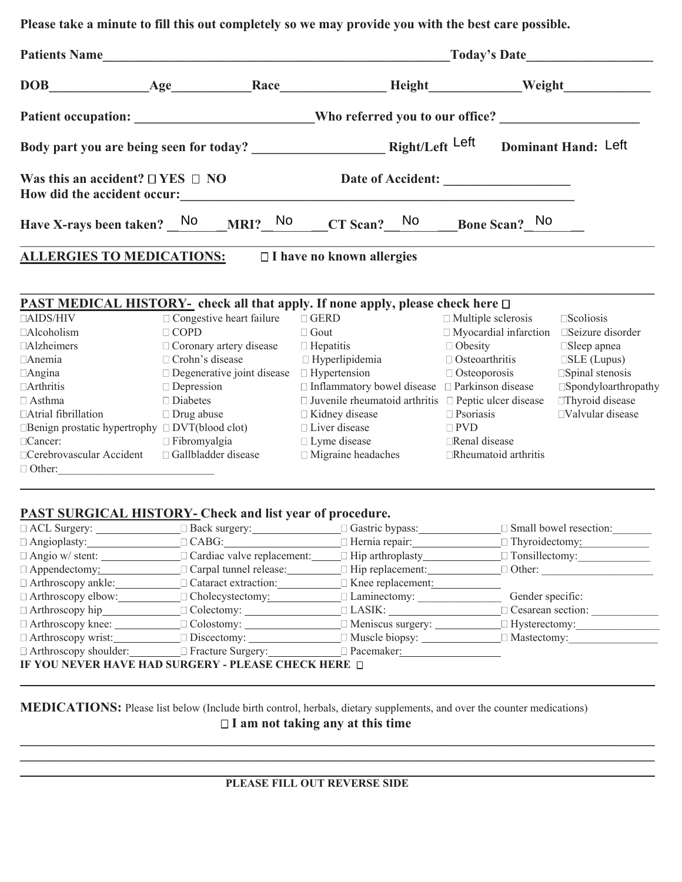**Please take a minute to fill this out completely so we may provide you with the best care possible.** 

| Patients Name |                                            |  |                                                                                            |  |                                                                                                                |  |
|---------------|--------------------------------------------|--|--------------------------------------------------------------------------------------------|--|----------------------------------------------------------------------------------------------------------------|--|
|               |                                            |  |                                                                                            |  |                                                                                                                |  |
|               |                                            |  |                                                                                            |  | Patient occupation: ________________________Who referred you to our office? __________________________________ |  |
|               |                                            |  |                                                                                            |  |                                                                                                                |  |
|               | Was this an accident? $\Box$ YES $\Box$ NO |  |                                                                                            |  |                                                                                                                |  |
|               |                                            |  | Have X-rays been taken? No $MRI$ ? No $CT$ Scan? No Bone Scan? No                          |  |                                                                                                                |  |
|               | <b>ALLERGIES TO MEDICATIONS:</b>           |  | $\Box$ I have no known allergies                                                           |  |                                                                                                                |  |
|               |                                            |  | <b>PAST MEDICAL HISTORY-</b> check all that apply. If none apply, please check here $\Box$ |  |                                                                                                                |  |
|               |                                            |  | $\Box$ AIDC/HIV                                                                            |  |                                                                                                                |  |

| $\Box$ AIDS/HIV                     | $\Box$ Congestive heart failure   | $\Box$ GERD                                                      | $\Box$ Multiple sclerosis    | Scoliosis                     |
|-------------------------------------|-----------------------------------|------------------------------------------------------------------|------------------------------|-------------------------------|
| $\Box$ Alcoholism                   | $\Box$ COPD                       | $\Box$ Gout                                                      | $\Box$ Myocardial infarction | $\square$ Seizure disorder    |
| $\Box$ Alzheimers                   | $\Box$ Coronary artery disease    | $\Box$ Hepatitis                                                 | $\Box$ Obesity               | $\square$ Sleep apnea         |
| $\Box$ Anemia                       | $\Box$ Crohn's disease            | $\Box$ Hyperlipidemia                                            | $\Box$ Osteoarthritis        | $\square$ SLE (Lupus)         |
| $\Box$ Angina                       | $\Box$ Degenerative joint disease | $\Box$ Hypertension                                              | $\Box$ Osteoporosis          | $\square$ Spinal stenosis     |
| $\Box$ Arthritis                    | $\Box$ Depression                 | $\Box$ Inflammatory bowel disease $\Box$ Parkinson disease       |                              | $\square$ Spondyloarthropathy |
| $\Box$ Asthma                       | $\Box$ Diabetes                   | $\Box$ Juvenile rheumatoid arthritis $\Box$ Peptic ulcer disease |                              | □Thyroid disease              |
| □ Atrial fibrillation               | $\Box$ Drug abuse                 | $\Box$ Kidney disease                                            | $\Box$ Psoriasis             | □Valvular disease             |
| <b>Benign prostatic hypertrophy</b> | $\Box$ DVT(blood clot)            | $\Box$ Liver disease                                             | $\square$ PVD                |                               |
| $\Box$ Cancer:                      | $\Box$ Fibromyalgia               | $\Box$ Lyme disease                                              | □Renal disease               |                               |
| □ Cerebrovascular Accident          | □ Gallbladder disease             | $\Box$ Migraine headaches                                        | Rheumatoid arthritis         |                               |
| $\Box$ Other:                       |                                   |                                                                  |                              |                               |

 **\_\_\_\_\_\_\_\_\_\_\_**

## **PAST SURGICAL HISTORY- Check and list year of procedure.**

|                                                             |                                                                                  |                                                                                          | $\Box$ Small bowel resection: |  |  |  |
|-------------------------------------------------------------|----------------------------------------------------------------------------------|------------------------------------------------------------------------------------------|-------------------------------|--|--|--|
|                                                             | $\Box$ Angioplasty: $\Box$ CABG:                                                 | □ Hernia repair: <u>University:</u> University:                                          |                               |  |  |  |
|                                                             | $\Box$ Angio w/ stent: $\Box$ Cardiac valve replacement: $\Box$ Hip arthroplasty |                                                                                          | $\Box$ Tonsillectomy:         |  |  |  |
|                                                             |                                                                                  | $\Box$ Appendectomy: $\Box$ Carpal tunnel release: $\Box$ Hip replacement:               | $\Box$ Other:                 |  |  |  |
|                                                             | $\Box$ Arthroscopy ankle: $\Box$ Cataract extraction: $\Box$ Knee replacement:   |                                                                                          |                               |  |  |  |
|                                                             | $\Box$ Arthroscopy elbow: $\Box$ Cholecystectomy: $\Box$ Laminectomy:            |                                                                                          | Gender specific:              |  |  |  |
|                                                             |                                                                                  | $\Box$ Arthroscopy hip $\Box$ Colectomy: $\Box$ LASIK: $\Box$                            | $\Box$ Cesarean section:      |  |  |  |
|                                                             |                                                                                  | $\Box$ Arthroscopy knee: $\Box$ Colostomy: $\Box$ Meniscus surgery: $\Box$ Hysterectomy: |                               |  |  |  |
|                                                             | $\Box$ Arthroscopy wrist: $\Box$ Discectomy: $\Box$ Muscle biopsy:               |                                                                                          | $\Box$ Mastectomy:            |  |  |  |
|                                                             | □ Arthroscopy shoulder: □ Fracture Surgery: □ Pacemaker: □ Pacemaker:            |                                                                                          |                               |  |  |  |
| <b>IF YOU NEVER HAVE HA</b><br>IRGERY - PLEASE CHECK HERE □ |                                                                                  |                                                                                          |                               |  |  |  |
|                                                             |                                                                                  |                                                                                          |                               |  |  |  |

**MEDICATIONS:** Please list below (Include birth control, herbals, dietary supplements, and over the counter medications)

 **I am not taking any at this time \_\_\_\_\_\_\_\_\_\_\_\_\_\_\_\_\_\_\_\_\_\_\_\_\_\_\_\_\_\_\_\_\_\_\_\_\_\_\_\_\_\_\_\_\_\_\_\_\_\_\_\_\_\_\_\_\_\_\_\_\_\_\_\_\_\_\_\_\_\_\_\_\_\_\_\_\_\_\_\_\_\_\_\_\_\_\_\_\_\_\_\_\_\_\_**

**\_\_\_\_\_\_\_\_\_\_\_\_\_\_\_\_\_\_\_\_\_\_\_\_\_\_\_\_\_\_\_\_\_\_\_\_\_\_\_\_\_\_\_\_\_\_\_\_\_\_\_\_\_\_\_\_\_\_\_\_\_\_\_\_\_\_\_\_\_\_\_\_\_\_\_\_\_\_\_\_\_\_\_\_\_\_\_\_\_\_\_\_\_\_\_**

| <b>PLEASE FILL OUT REVERSE SIDE</b> |  |
|-------------------------------------|--|